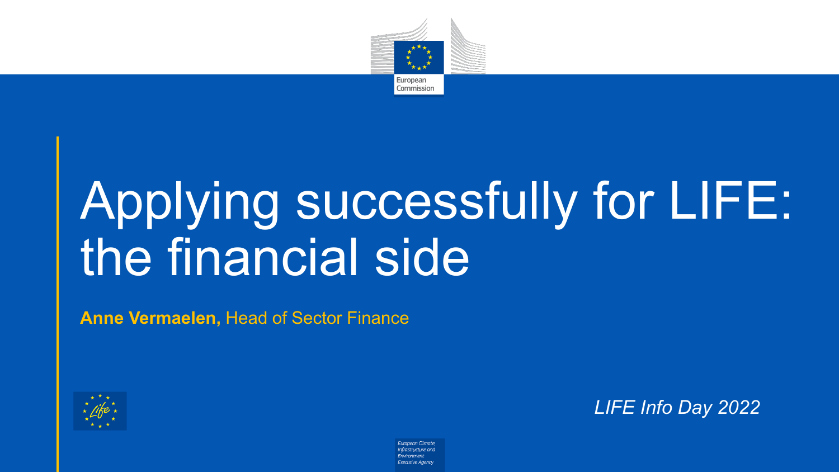

# Applying successfully for LIFE: the financial side

**Anne Vermaelen,** Head of Sector Finance



*LIFE Info Day 2022*

European Climate, Infrastructure and *<u>Environment</u>* **Executive Agency**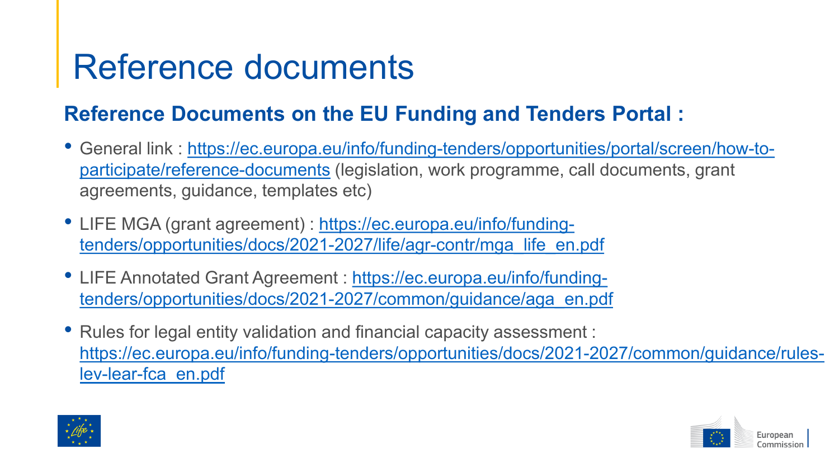### Reference documents

### **Reference Documents on the EU Funding and Tenders Portal :**

- General link [: https://ec.europa.eu/info/funding-tenders/opportunities/portal/screen/how-to](https://ec.europa.eu/info/funding-tenders/opportunities/portal/screen/how-to-participate/reference-documents)participate/reference-documents (legislation, work programme, call documents, grant agreements, guidance, templates etc)
- LIFE MGA (grant agreement) : https://ec.europa.eu/info/funding[tenders/opportunities/docs/2021-2027/life/agr-contr/mga\\_life\\_en.pdf](https://ec.europa.eu/info/funding-tenders/opportunities/docs/2021-2027/life/agr-contr/mga_life_en.pdf)
- LIFE Annotated Grant Agreement : https://ec.europa.eu/info/funding[tenders/opportunities/docs/2021-2027/common/guidance/aga\\_en.pdf](https://ec.europa.eu/info/funding-tenders/opportunities/docs/2021-2027/common/guidance/aga_en.pdf)
- Rules for legal entity validation and financial capacity assessment : [https://ec.europa.eu/info/funding-tenders/opportunities/docs/2021-2027/common/guidance/rules](https://ec.europa.eu/info/funding-tenders/opportunities/docs/2021-2027/common/guidance/rules-lev-lear-fca_en.pdf)lev-lear-fca\_en.pdf



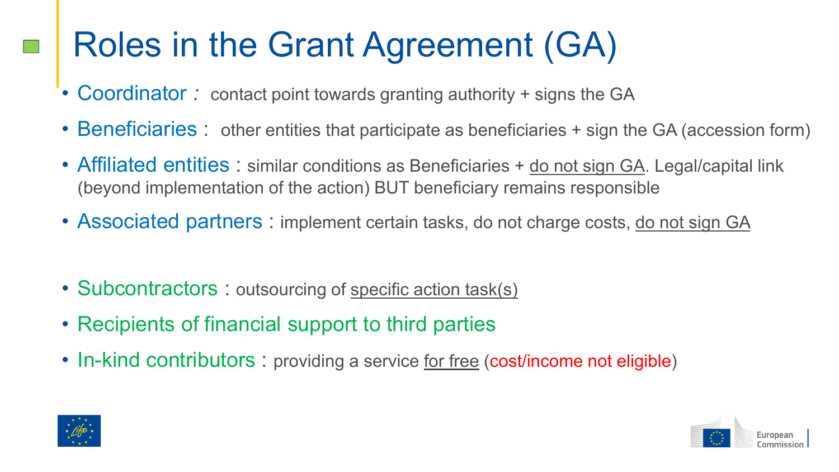## Roles in the Grant Agreement (GA)

- Coordinator: contact point towards granting authority + signs the GA
- Beneficiaries: other entities that participate as beneficiaries + sign the GA (accession form)
- Affiliated entities : similar conditions as Beneficiaries + do not sign GA. Legal/capital link (beyond implementation of the action) BUT beneficiary remains responsible
- Associated partners : implement certain tasks, do not charge costs, do not sign GA
- Subcontractors : outsourcing of specific action task(s)
- Recipients of financial support to third parties
- In-kind contributors : providing a service <u>for free</u> (cost/income not eligible)



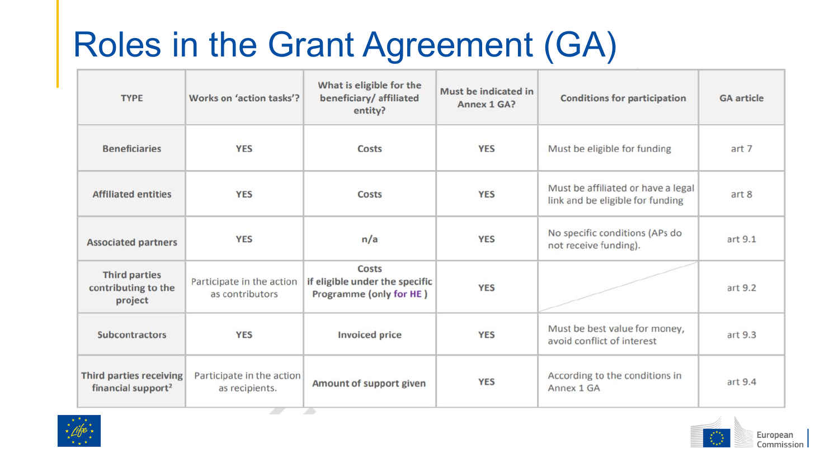## Roles in the Grant Agreement (GA)

| <b>TYPE</b>                                               | Works on 'action tasks'?                     | What is eligible for the<br>beneficiary/ affiliated<br>entity?     | Must be indicated in<br>Annex 1 GA? | <b>Conditions for participation</b>                                    | <b>GA</b> article |
|-----------------------------------------------------------|----------------------------------------------|--------------------------------------------------------------------|-------------------------------------|------------------------------------------------------------------------|-------------------|
| <b>Beneficiaries</b>                                      | <b>YES</b>                                   | Costs                                                              | <b>YES</b>                          | Must be eligible for funding                                           | art 7             |
| <b>Affiliated entities</b>                                | <b>YES</b>                                   | Costs                                                              | <b>YES</b>                          | Must be affiliated or have a legal<br>link and be eligible for funding | art 8             |
| <b>Associated partners</b>                                | <b>YES</b>                                   | n/a                                                                | <b>YES</b>                          | No specific conditions (APs do<br>not receive funding).                | art 9.1           |
| <b>Third parties</b><br>contributing to the<br>project    | Participate in the action<br>as contributors | Costs<br>if eligible under the specific<br>Programme (only for HE) | <b>YES</b>                          |                                                                        | art 9.2           |
| <b>Subcontractors</b>                                     | <b>YES</b>                                   | <b>Invoiced price</b>                                              | <b>YES</b>                          | Must be best value for money,<br>avoid conflict of interest            | art 9.3           |
| Third parties receiving<br>financial support <sup>2</sup> | Participate in the action<br>as recipients.  | Amount of support given                                            | <b>YES</b>                          | According to the conditions in<br>Annex 1 GA                           | art 9.4           |



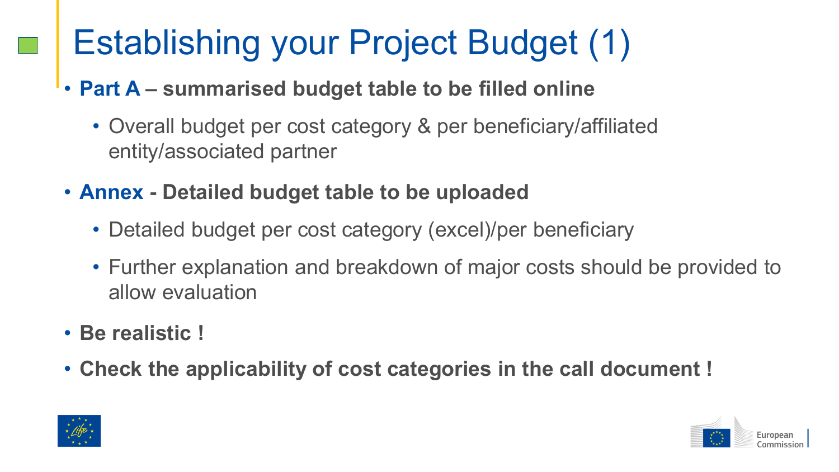## Establishing your Project Budget (1)

### • **Part A – summarised budget table to be filled online**

- Overall budget per cost category & per beneficiary/affiliated entity/associated partner
- **Annex - Detailed budget table to be uploaded**
	- Detailed budget per cost category (excel)/per beneficiary
	- Further explanation and breakdown of major costs should be provided to allow evaluation
- **Be realistic !**
- **Check the applicability of cost categories in the call document !**



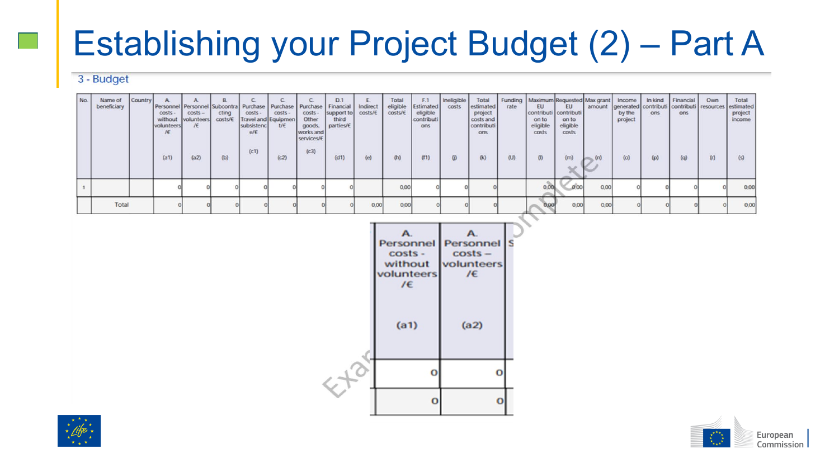### Establishing your Project Budget (2) – Part A

#### 3 - Budget

| No. | Name of<br>beneficiary | <b>Country</b> | $costs -$<br>volunteers<br>IE<br>(a1) | Personnel   Personnel<br>$costs -$<br>without volunteers<br>I€<br>(a2) | <sub>B</sub><br>Subcontri<br>cting<br>costs/6<br>(b) | Purchase<br>costs -<br>Travel and Equipmen<br>subsistenc<br>e/E<br>(c1) | Purchase<br>costs -<br>U€<br>(c2) | costs -<br>Other<br>goods,<br>works and<br>services/E<br>(c3) | D.1<br>Financia<br>support to<br>third<br>parties/€<br>(d1) | Indirect<br>costs/€<br>(e) | Total<br>eligible<br>costs/E<br>(h) | F.1<br>Estimated<br>eligible<br>contributi<br>ons<br>(f1) | Ineligible<br>costs<br>$\omega$ | Total<br>estimated<br>project<br>costs and<br>contributi<br>ons<br>(k) | rate<br>(U) | Funding   Maximum Requested Max grant  <br>EU<br>contributi<br>on to<br>eligible<br>costs<br>(1) | EU<br>contributi<br>on to<br>eligible<br>costs<br>(m)<br>× | amount<br>(n) | Income<br>by the<br>project<br>(o) | In kind<br>ons<br>(p) | Financial<br>ons<br>(q) | Own<br>generated contributi contributi resources<br>(r) | Total<br>estimated<br>project<br>income<br>(s) |
|-----|------------------------|----------------|---------------------------------------|------------------------------------------------------------------------|------------------------------------------------------|-------------------------------------------------------------------------|-----------------------------------|---------------------------------------------------------------|-------------------------------------------------------------|----------------------------|-------------------------------------|-----------------------------------------------------------|---------------------------------|------------------------------------------------------------------------|-------------|--------------------------------------------------------------------------------------------------|------------------------------------------------------------|---------------|------------------------------------|-----------------------|-------------------------|---------------------------------------------------------|------------------------------------------------|
|     |                        |                |                                       |                                                                        |                                                      |                                                                         |                                   |                                                               |                                                             |                            | 0,00                                |                                                           |                                 |                                                                        |             |                                                                                                  | 0.00                                                       | 0,00          |                                    |                       |                         |                                                         | 0,00                                           |
|     | Total                  |                |                                       |                                                                        |                                                      |                                                                         |                                   |                                                               |                                                             | 0.00                       | 0.00                                |                                                           |                                 |                                                                        |             | 9.00                                                                                             | 0.00                                                       | 0,00          |                                    |                       |                         |                                                         | 0,00                                           |





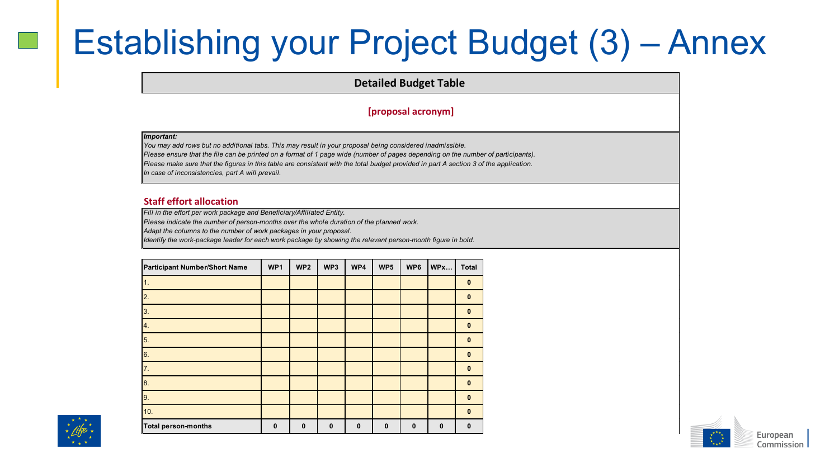### Establishing your Project Budget (3) – Annex

**Detailed Budget Table** 

#### **[proposal acronym]**

#### *Important:*

*You may add rows but no additional tabs. This may result in your proposal being considered inadmissible. Please ensure that the file can be printed on a format of 1 page wide (number of pages depending on the number of participants). Please make sure that the figures in this table are consistent with the total budget provided in part A section 3 of the application. In case of inconsistencies, part A will prevail.* 

#### **Staff effort allocation**

*Fill in the effort per work package and Beneficiary/Affiliated Entity.* 

*Please indicate the number of person-months over the whole duration of the planned work.* 

*Adapt the columns to the number of work packages in your proposal.* 

*Identify the work-package leader for each work package by showing the relevant person-month figure in bold.*

| Participant Number/Short Name | WP1         | WP <sub>2</sub> | WP3         | WP4          | WP <sub>5</sub> | WP <sub>6</sub> | WPx         | <b>Total</b> |
|-------------------------------|-------------|-----------------|-------------|--------------|-----------------|-----------------|-------------|--------------|
| 1.                            |             |                 |             |              |                 |                 |             | $\mathbf 0$  |
| 2.                            |             |                 |             |              |                 |                 |             | $\mathbf 0$  |
| 3.                            |             |                 |             |              |                 |                 |             | $\mathbf{0}$ |
| 4.                            |             |                 |             |              |                 |                 |             | $\mathbf{0}$ |
| 5.                            |             |                 |             |              |                 |                 |             | $\bf{0}$     |
| 6.                            |             |                 |             |              |                 |                 |             | $\bf{0}$     |
| 7.                            |             |                 |             |              |                 |                 |             | $\bf{0}$     |
| 8.                            |             |                 |             |              |                 |                 |             | $\mathbf{0}$ |
| 9.                            |             |                 |             |              |                 |                 |             | $\mathbf{0}$ |
| 10.                           |             |                 |             |              |                 |                 |             | $\mathbf{0}$ |
| <b>Total person-months</b>    | $\mathbf 0$ | $\mathbf{0}$    | $\mathbf 0$ | $\mathbf{0}$ | $\mathbf 0$     | $\mathbf{0}$    | $\mathbf 0$ | $\mathbf{0}$ |



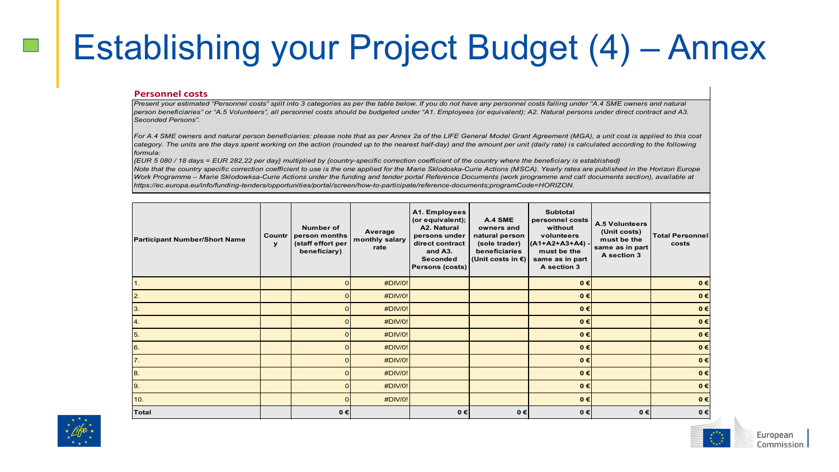### Establishing your Project Budget (4) – Annex

#### **Personnel costs**

*Present your estimated "Personnel costs" split into 3 categories as per the table below. If you do not have any personnel costs falling under "A.4 SME owners and natural person beneficiaries" or "A.5 Volunteers", all personnel costs should be budgeted under "A1. Employees (or equivalent); A2. Natural persons under direct contract and A3. Seconded Persons".* 

For A.4 SME owners and natural person beneficiaries: please note that as per Annex 2a of the LIFE General Model Grant Agreement (MGA), a unit cost is applied to this cost category. The units are the days spent working on the action (rounded up to the nearest half-day) and the amount per unit (daily rate) is calculated according to the following *formula:* 

*{EUR 5 080 / 18 days = EUR 282,22 per day} multiplied by {country-specific correction coefficient of the country where the beneficiary is established} Note that the country specific correction coefficient to use is the one applied for the Marie Sklodoska-Curie Actions (MSCA). Yearly rates are published in the Horizon Europe Work Programme – Marie Sklodowksa-Curie Actions under the funding and tender portal Reference Documents (work programme and call documents section), available at https://ec.europa.eu/info/funding-tenders/opportunities/portal/screen/how-to-participate/reference-documents;programCode=HORIZON.* 

| <b>Participant Number/Short Name</b> | Countr<br>$\mathbf{y}$ | Number of<br>person months<br>(staff effort per<br>beneficiary) | Average<br>monthly salary<br>rate | A1. Employees<br>(or equivalent);<br>A2. Natural<br>persons under<br>direct contract<br>and A3.<br>Seconded<br>Persons (costs) | A.4 SME<br>owners and<br>natural person<br>(sole trader)<br>beneficiaries<br>(Unit costs in €) | <b>Subtotal</b><br>personnel costs<br>without<br>volunteers<br>$(A1+A2+A3+A4)$<br>must be the<br>same as in part<br>A section 3 | <b>A.5 Volunteers</b><br>(Unit costs)<br>must be the<br>same as in part<br>A section 3 | <b>Total Personnel</b><br>costs |
|--------------------------------------|------------------------|-----------------------------------------------------------------|-----------------------------------|--------------------------------------------------------------------------------------------------------------------------------|------------------------------------------------------------------------------------------------|---------------------------------------------------------------------------------------------------------------------------------|----------------------------------------------------------------------------------------|---------------------------------|
| 1.                                   |                        | 0                                                               | #DIV/0!                           |                                                                                                                                |                                                                                                | $0 \in$                                                                                                                         |                                                                                        | $0 \in$                         |
| $\overline{2}$ .                     |                        |                                                                 | #DIV/0!                           |                                                                                                                                |                                                                                                | $0 \in$                                                                                                                         |                                                                                        | $0 \in$                         |
| 3.                                   |                        | ο                                                               | #DIV/0!                           |                                                                                                                                |                                                                                                | $0 \in$                                                                                                                         |                                                                                        | $0 \in$                         |
| 4.                                   |                        |                                                                 | #DIV/0!                           |                                                                                                                                |                                                                                                | $0 \in$                                                                                                                         |                                                                                        | $0 \in$                         |
| 5.                                   |                        | o                                                               | #DIV/0!                           |                                                                                                                                |                                                                                                | $0 \in$                                                                                                                         |                                                                                        | $0 \in$                         |
| 6.                                   |                        |                                                                 | #DIV/0!                           |                                                                                                                                |                                                                                                | $0 \in$                                                                                                                         |                                                                                        | $0 \in$                         |
| <b>7.</b>                            |                        |                                                                 | #DIV/0!                           |                                                                                                                                |                                                                                                | $0 \in$                                                                                                                         |                                                                                        | $0 \in$                         |
| 8.                                   |                        | o                                                               | #DIV/0!                           |                                                                                                                                |                                                                                                | $0 \in$                                                                                                                         |                                                                                        | $0 \in$                         |
| 9.                                   |                        | o                                                               | #DIV/0!                           |                                                                                                                                |                                                                                                | $0 \in$                                                                                                                         |                                                                                        | $0 \in$                         |
| 10.                                  |                        | o                                                               | #DIV/0!                           |                                                                                                                                |                                                                                                | $0 \in$                                                                                                                         |                                                                                        | $0 \in$                         |
| Total                                |                        | $0 \in$                                                         |                                   | $0 \in$                                                                                                                        | 0€                                                                                             | $0 \in$                                                                                                                         | $0 \in$                                                                                | $0 \in$                         |



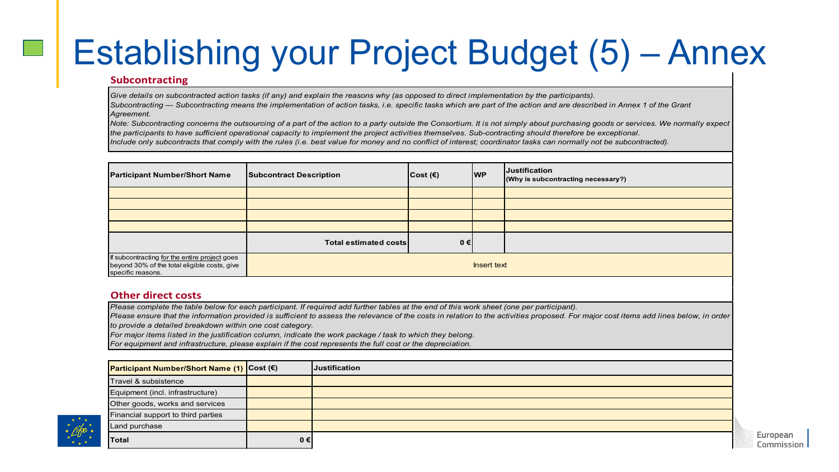### Establishing your Project Budget (5) – Annex

#### **Subcontracting**

*Give details on subcontracted action tasks (if any) and explain the reasons why (as opposed to direct implementation by the participants).* 

*Subcontracting — Subcontracting means the implementation of action tasks, i.e. specific tasks which are part of the action and are described in Annex 1 of the Grant Agreement.*

*Note: Subcontracting concerns the outsourcing of a part of the action to a party outside the Consortium. It is not simply about purchasing goods or services. We normally expect the participants to have sufficient operational capacity to implement the project activities themselves. Sub-contracting should therefore be exceptional.*

*Include only subcontracts that comply with the rules (i.e. best value for money and no conflict of interest; coordinator tasks can normally not be subcontracted).*

| <b>Participant Number/Short Name</b>                                                                               | <b>Subcontract Description</b> | $\vert \text{Cost}(\epsilon) \vert$ | <b>WP</b> | <b>Justification</b><br>(Why is subcontracting necessary?) |  |  |
|--------------------------------------------------------------------------------------------------------------------|--------------------------------|-------------------------------------|-----------|------------------------------------------------------------|--|--|
|                                                                                                                    |                                |                                     |           |                                                            |  |  |
|                                                                                                                    |                                |                                     |           |                                                            |  |  |
|                                                                                                                    |                                |                                     |           |                                                            |  |  |
|                                                                                                                    |                                |                                     |           |                                                            |  |  |
|                                                                                                                    | Total estimated costs          | $0 \in$                             |           |                                                            |  |  |
| If subcontracting for the entire project goes<br>beyond 30% of the total eligible costs, give<br>specific reasons. | Insert text                    |                                     |           |                                                            |  |  |

#### **Other direct costs**

*Please complete the table below for each participant. If required add further tables at the end of this work sheet (one per participant).*

Please ensure that the information provided is sufficient to assess the relevance of the costs in relation to the activities proposed. For major cost items add lines below, in order *to provide a detailed breakdown within one cost category.*

*For major items listed in the justification column, indicate the work package / task to which they belong.* 

*For equipment and infrastructure, please explain if the cost represents the full cost or the depreciation.*

| Participant Number/Short Name (1) Cost (€) |         | <b>Justification</b> |
|--------------------------------------------|---------|----------------------|
| Travel & subsistence                       |         |                      |
| Equipment (incl. infrastructure)           |         |                      |
| Other goods, works and services            |         |                      |
| Financial support to third parties         |         |                      |
| Land purchase                              |         |                      |
| Total                                      | $0 \in$ |                      |

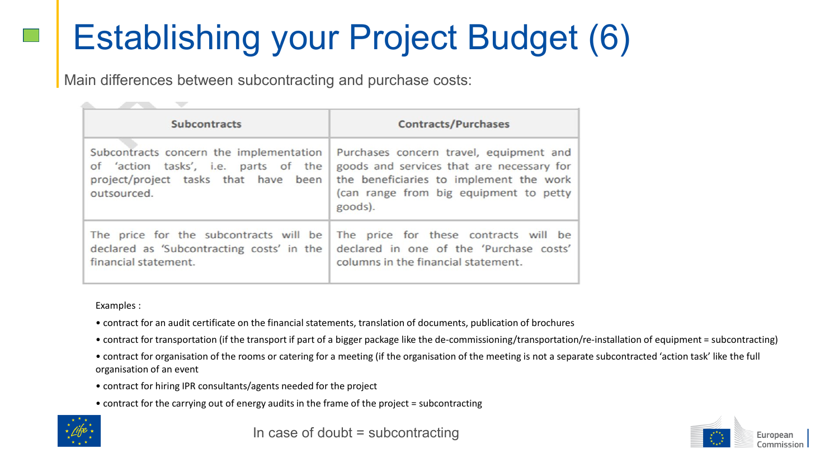## Establishing your Project Budget (6)

Main differences between subcontracting and purchase costs:

| <b>Subcontracts</b>                                                                                                                    | <b>Contracts/Purchases</b>                                                                                                                                                           |  |  |  |  |
|----------------------------------------------------------------------------------------------------------------------------------------|--------------------------------------------------------------------------------------------------------------------------------------------------------------------------------------|--|--|--|--|
| Subcontracts concern the implementation<br>of 'action tasks', i.e. parts of the<br>project/project tasks that have been<br>outsourced. | Purchases concern travel, equipment and<br>goods and services that are necessary for<br>the beneficiaries to implement the work<br>(can range from big equipment to petty<br>goods). |  |  |  |  |
| The price for the subcontracts will be<br>declared as 'Subcontracting costs' in the<br>financial statement.                            | The price for these contracts will be<br>declared in one of the 'Purchase costs'<br>columns in the financial statement.                                                              |  |  |  |  |

Examples :

- contract for an audit certificate on the financial statements, translation of documents, publication of brochures
- contract for transportation (if the transport if part of a bigger package like the de-commissioning/transportation/re-installation of equipment = subcontracting)
- contract for organisation of the rooms or catering for a meeting (if the organisation of the meeting is not a separate subcontracted 'action task' like the full organisation of an event
- contract for hiring IPR consultants/agents needed for the project
- contract for the carrying out of energy audits in the frame of the project = subcontracting



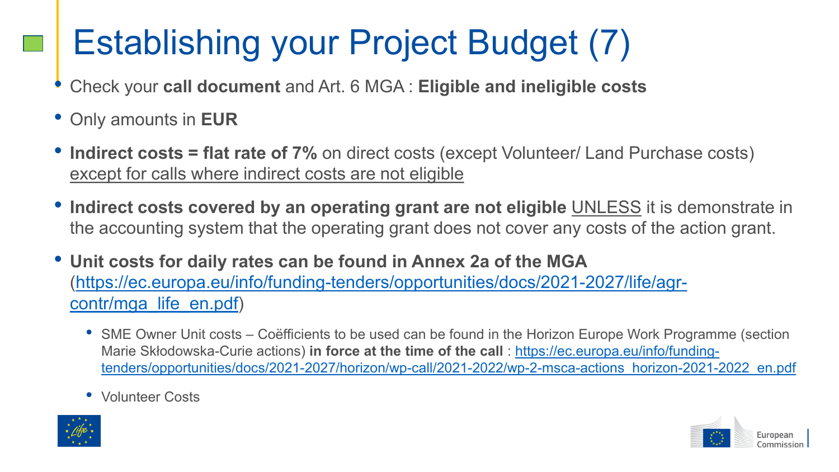## Establishing your Project Budget (7)

- Check your **call document** and Art. 6 MGA : **Eligible and ineligible costs**
- Only amounts in **EUR**
- **Indirect costs = flat rate of 7%** on direct costs (except Volunteer/ Land Purchase costs) except for calls where indirect costs are not eligible
- **Indirect costs covered by an operating grant are not eligible** UNLESS it is demonstrate in the accounting system that the operating grant does not cover any costs of the action grant.
- **Unit costs for daily rates can be found in Annex 2a of the MGA**  [\(https://ec.europa.eu/info/funding-tenders/opportunities/docs/2021-2027/life/agr](https://ec.europa.eu/info/funding-tenders/opportunities/docs/2021-2027/life/agr-contr/mga_life_en.pdf)contr/mga\_life\_en.pdf)
	- SME Owner Unit costs Coëfficients to be used can be found in the Horizon Europe Work Programme (section Marie Skłodowska-Curie actions) **in force at the time of the call** : https://ec.europa.eu/info/funding[tenders/opportunities/docs/2021-2027/horizon/wp-call/2021-2022/wp-2-msca-actions\\_horizon-2021-2022\\_en.pdf](https://ec.europa.eu/info/funding-tenders/opportunities/docs/2021-2027/horizon/wp-call/2021-2022/wp-2-msca-actions_horizon-2021-2022_en.pdf)
	- Volunteer Costs



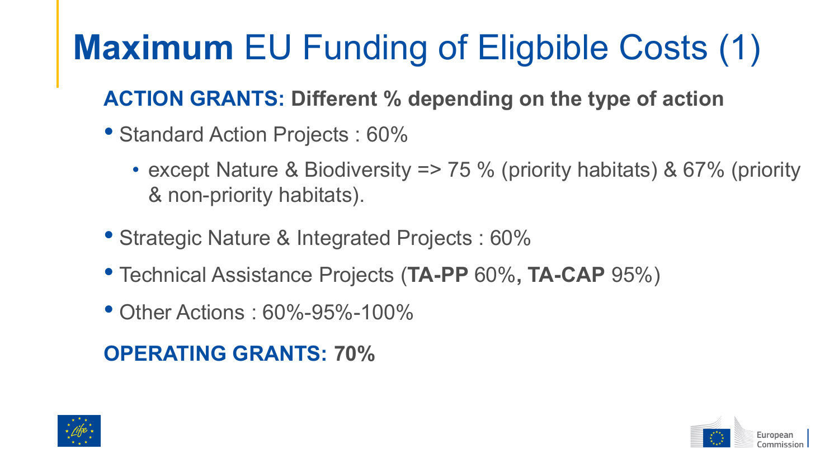## **Maximum** EU Funding of Eligbible Costs (1)

### **ACTION GRANTS: Different % depending on the type of action**

- Standard Action Projects : 60%
	- except Nature & Biodiversity => 75 % (priority habitats) & 67% (priority & non-priority habitats).
- Strategic Nature & Integrated Projects : 60%
- Technical Assistance Projects (**TA-PP** 60%**, TA-CAP** 95%)
- Other Actions : 60%-95%-100%

### **OPERATING GRANTS: 70%**



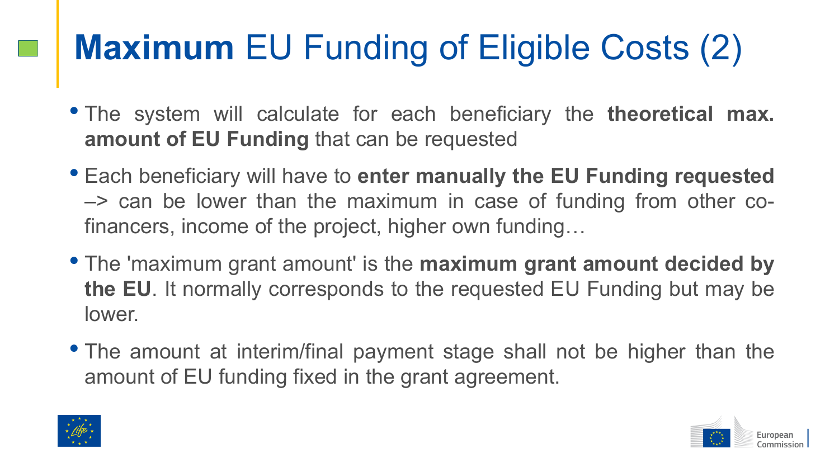## **Maximum** EU Funding of Eligible Costs (2)

- The system will calculate for each beneficiary the **theoretical max. amount of EU Funding** that can be requested
- Each beneficiary will have to **enter manually the EU Funding requested** –> can be lower than the maximum in case of funding from other cofinancers, income of the project, higher own funding…
- The 'maximum grant amount' is the **maximum grant amount decided by the EU**. It normally corresponds to the requested EU Funding but may be lower.
- The amount at interim/final payment stage shall not be higher than the amount of EU funding fixed in the grant agreement.



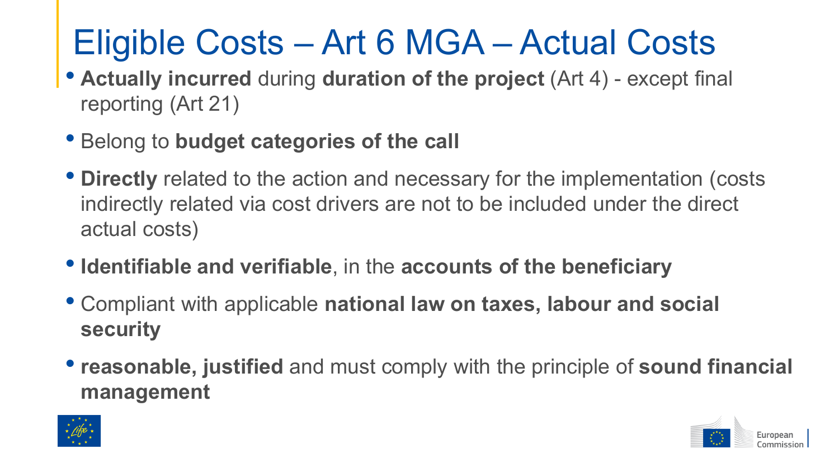## Eligible Costs – Art 6 MGA – Actual Costs

- **Actually incurred** during **duration of the project** (Art 4) except final reporting (Art 21)
- Belong to **budget categories of the call**
- **Directly** related to the action and necessary for the implementation (costs indirectly related via cost drivers are not to be included under the direct actual costs)
- **Identifiable and verifiable**, in the **accounts of the beneficiary**
- Compliant with applicable **national law on taxes, labour and social security**
- **reasonable, justified** and must comply with the principle of **sound financial management**



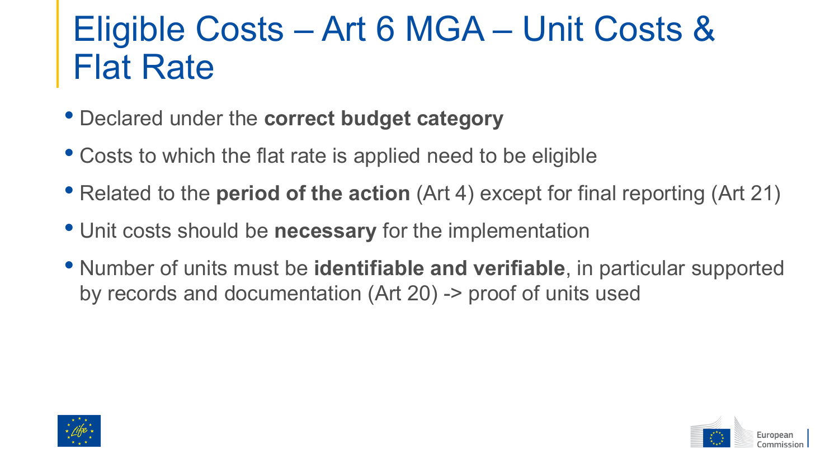### Eligible Costs – Art 6 MGA – Unit Costs & Flat Rate

- Declared under the **correct budget category**
- Costs to which the flat rate is applied need to be eligible
- Related to the **period of the action** (Art 4) except for final reporting (Art 21)
- Unit costs should be **necessary** for the implementation
- Number of units must be **identifiable and verifiable**, in particular supported by records and documentation (Art 20) -> proof of units used



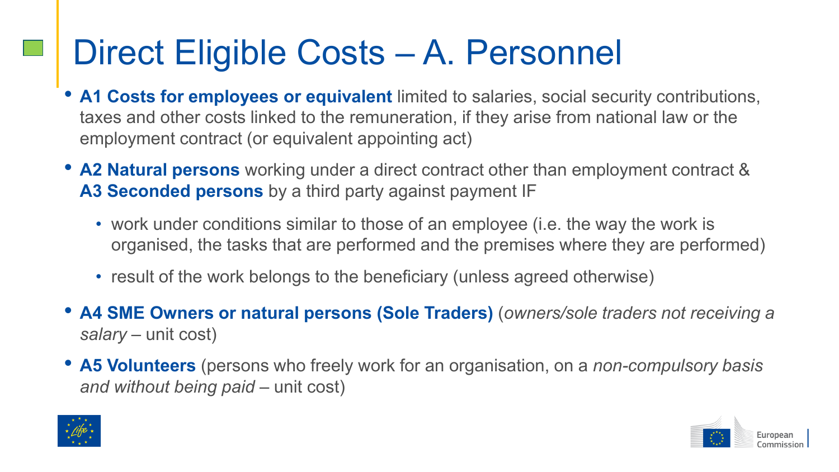### Direct Eligible Costs – A. Personnel

- **A1 Costs for employees or equivalent** limited to salaries, social security contributions, taxes and other costs linked to the remuneration, if they arise from national law or the employment contract (or equivalent appointing act)
- **A2 Natural persons** working under a direct contract other than employment contract & **A3 Seconded persons** by a third party against payment IF
	- work under conditions similar to those of an employee (i.e. the way the work is organised, the tasks that are performed and the premises where they are performed)
	- result of the work belongs to the beneficiary (unless agreed otherwise)
- **A4 SME Owners or natural persons (Sole Traders)** (*owners/sole traders not receiving a salary* – unit cost)
- **A5 Volunteers** (persons who freely work for an organisation, on a *non-compulsory basis and without being paid* – unit cost)



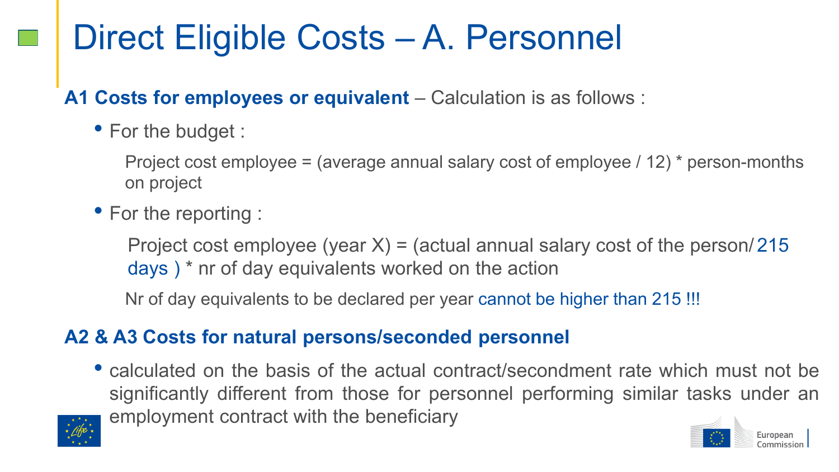### Direct Eligible Costs – A. Personnel

**A1 Costs for employees or equivalent** – Calculation is as follows :

• For the budget :

Project cost employee = (average annual salary cost of employee / 12) \* person-months on project

• For the reporting :

Project cost employee (year  $X$ ) = (actual annual salary cost of the person/215 days ) \* nr of day equivalents worked on the action

Nr of day equivalents to be declared per year cannot be higher than 215 !!!

#### **A2 & A3 Costs for natural persons/seconded personnel**

• calculated on the basis of the actual contract/secondment rate which must not be significantly different from those for personnel performing similar tasks under an employment contract with the beneficiary



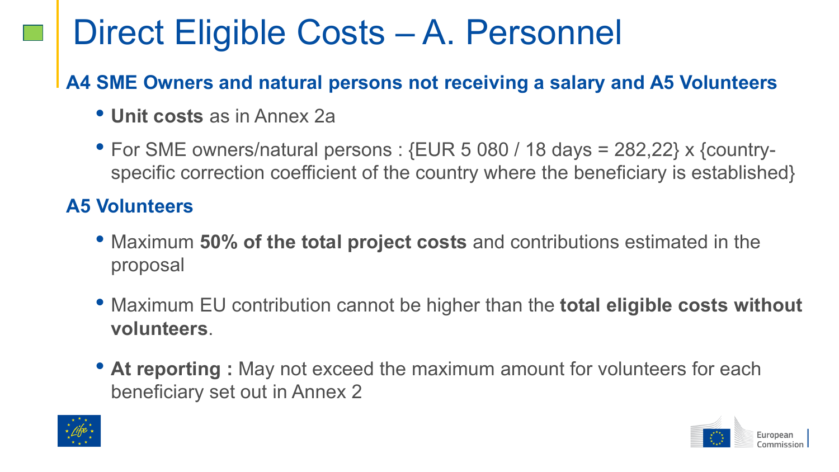### Direct Eligible Costs – A. Personnel

#### **A4 SME Owners and natural persons not receiving a salary and A5 Volunteers**

- **Unit costs** as in Annex 2a
- For SME owners/natural persons : {EUR 5 080 / 18 days = 282,22} x {countryspecific correction coefficient of the country where the beneficiary is established}

#### **A5 Volunteers**

- Maximum **50% of the total project costs** and contributions estimated in the proposal
- Maximum EU contribution cannot be higher than the **total eligible costs without volunteers**.
- At reporting : May not exceed the maximum amount for volunteers for each beneficiary set out in Annex 2



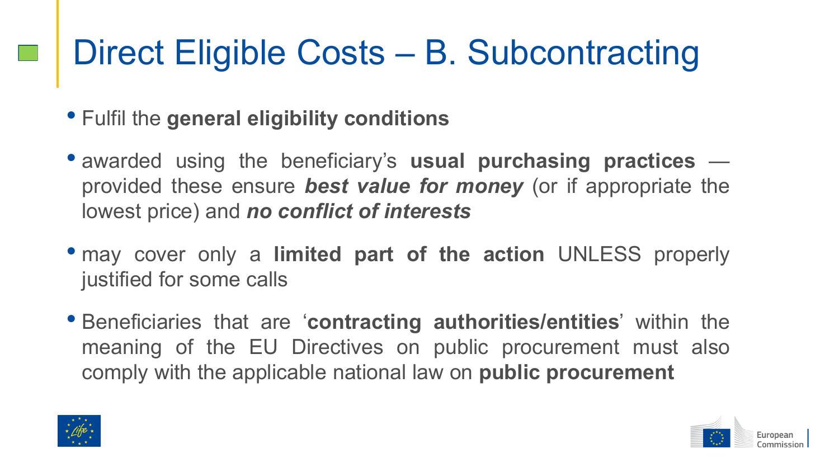### Direct Eligible Costs – B. Subcontracting

- Fulfil the **general eligibility conditions**
- awarded using the beneficiary's **usual purchasing practices** provided these ensure *best value for money* (or if appropriate the lowest price) and *no conflict of interests*
- may cover only a **limited part of the action** UNLESS properly justified for some calls
- Beneficiaries that are '**contracting authorities/entities**' within the meaning of the EU Directives on public procurement must also comply with the applicable national law on **public procurement**



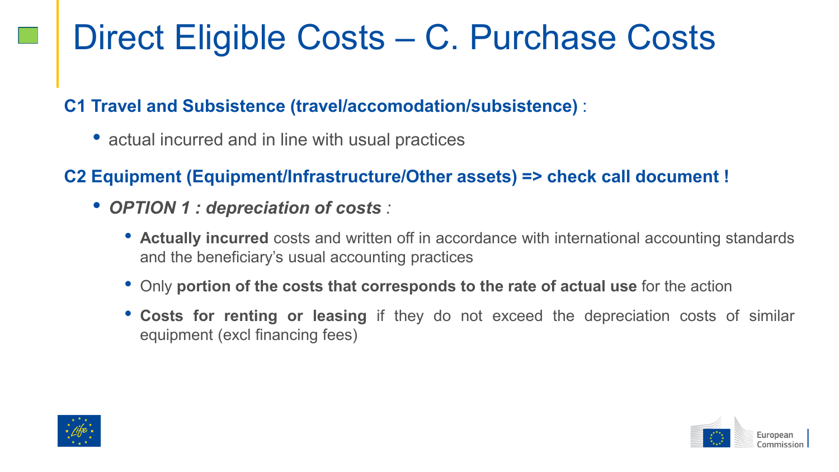### Direct Eligible Costs – C. Purchase Costs

#### **C1 Travel and Subsistence (travel/accomodation/subsistence)** :

• actual incurred and in line with usual practices

#### **C2 Equipment (Equipment/Infrastructure/Other assets) => check call document !**

- *OPTION 1 : depreciation of costs :*
	- **Actually incurred** costs and written off in accordance with international accounting standards and the beneficiary's usual accounting practices
	- Only **portion of the costs that corresponds to the rate of actual use** for the action
	- **Costs for renting or leasing** if they do not exceed the depreciation costs of similar equipment (excl financing fees)



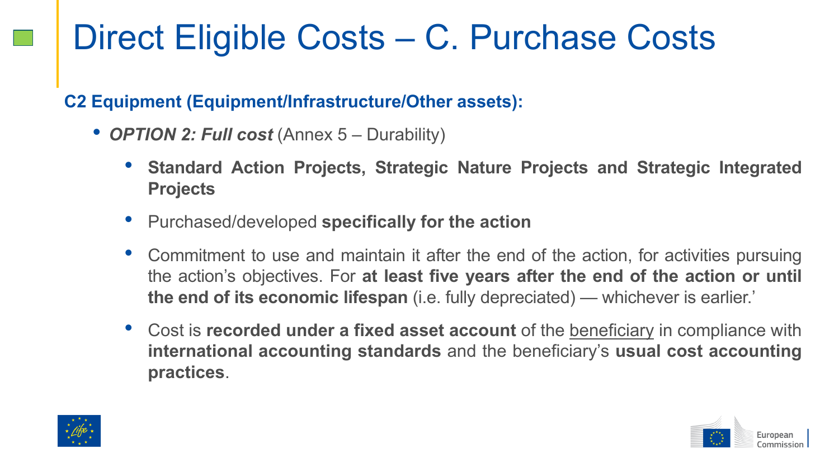### Direct Eligible Costs – C. Purchase Costs

#### **C2 Equipment (Equipment/Infrastructure/Other assets):**

- *OPTION 2: Full cost* (Annex 5 Durability)
	- **Standard Action Projects, Strategic Nature Projects and Strategic Integrated Projects**
	- Purchased/developed **specifically for the action**
	- Commitment to use and maintain it after the end of the action, for activities pursuing the action's objectives. For **at least five years after the end of the action or until the end of its economic lifespan** (i.e. fully depreciated) — whichever is earlier.'
	- Cost is **recorded under a fixed asset account** of the beneficiary in compliance with **international accounting standards** and the beneficiary's **usual cost accounting practices**.



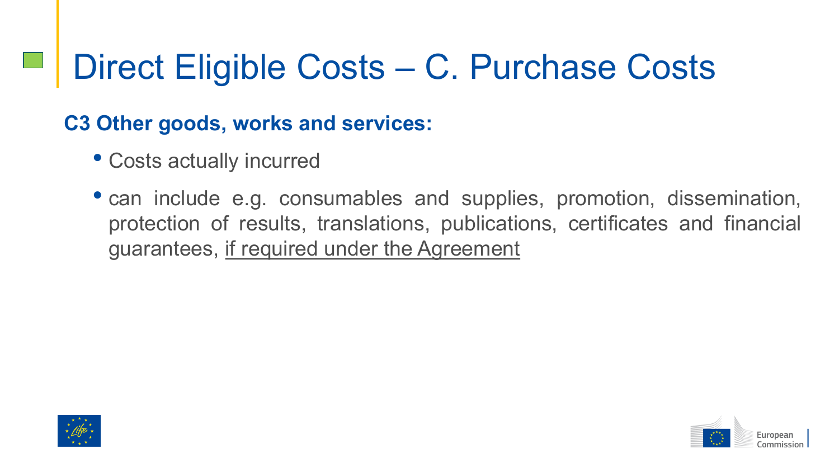### Direct Eligible Costs – C. Purchase Costs

### **C3 Other goods, works and services:**

- Costs actually incurred
- can include e.g. consumables and supplies, promotion, dissemination, protection of results, translations, publications, certificates and financial guarantees, if required under the Agreement



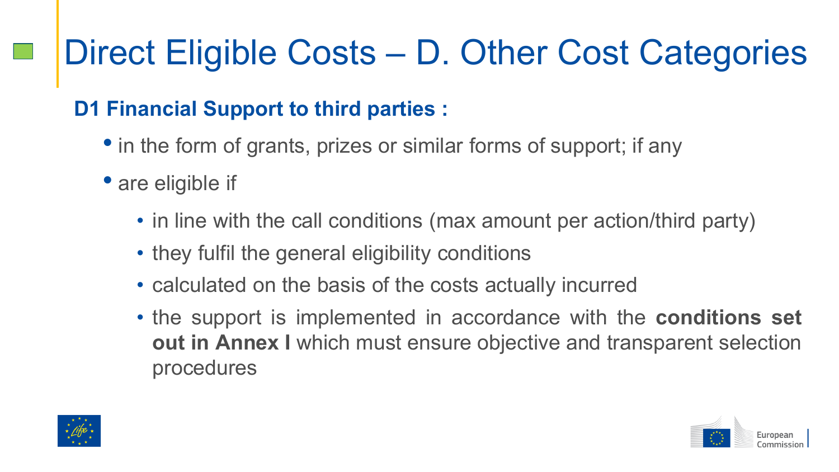### **D1 Financial Support to third parties :**

- in the form of grants, prizes or similar forms of support; if any
- are eligible if
	- in line with the call conditions (max amount per action/third party)
	- they fulfil the general eligibility conditions
	- calculated on the basis of the costs actually incurred
	- the support is implemented in accordance with the **conditions set out in Annex I** which must ensure objective and transparent selection procedures



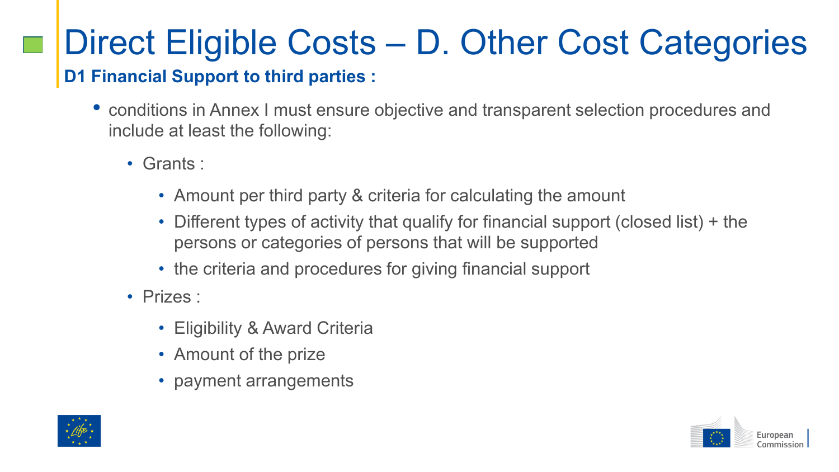#### **D1 Financial Support to third parties :**

- conditions in Annex I must ensure objective and transparent selection procedures and include at least the following:
	- Grants :
		- Amount per third party & criteria for calculating the amount
		- Different types of activity that qualify for financial support (closed list) + the persons or categories of persons that will be supported
		- the criteria and procedures for giving financial support
	- Prizes :
		- Eligibility & Award Criteria
		- Amount of the prize
		- payment arrangements



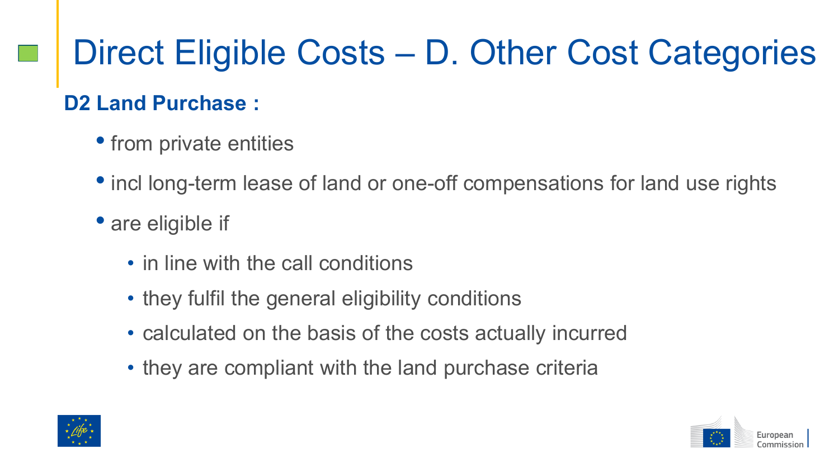### **D2 Land Purchase :**

- from private entities
- incl long-term lease of land or one-off compensations for land use rights
- are eligible if
	- in line with the call conditions
	- they fulfil the general eligibility conditions
	- calculated on the basis of the costs actually incurred
	- they are compliant with the land purchase criteria



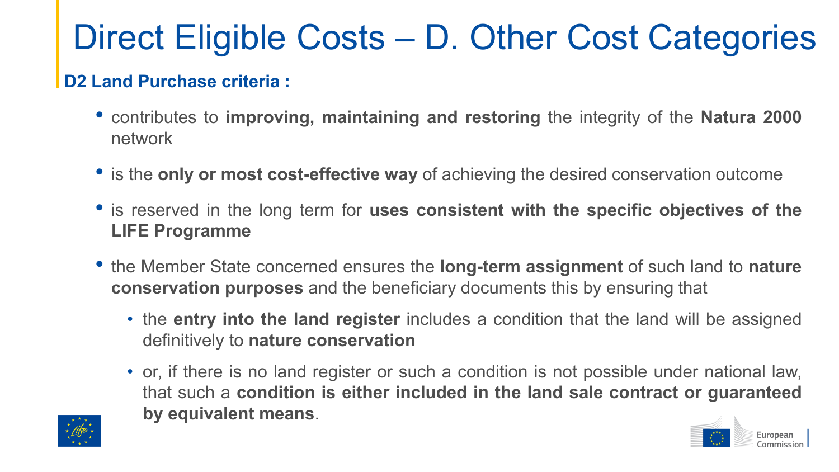#### **D2 Land Purchase criteria :**

- contributes to **improving, maintaining and restoring** the integrity of the **Natura 2000** network
- is the **only or most cost-effective way** of achieving the desired conservation outcome
- is reserved in the long term for **uses consistent with the specific objectives of the LIFE Programme**
- the Member State concerned ensures the **long-term assignment** of such land to **nature conservation purposes** and the beneficiary documents this by ensuring that
	- the **entry into the land register** includes a condition that the land will be assigned definitively to **nature conservation**
	- or, if there is no land register or such a condition is not possible under national law, that such a **condition is either included in the land sale contract or guaranteed by equivalent means**.

European

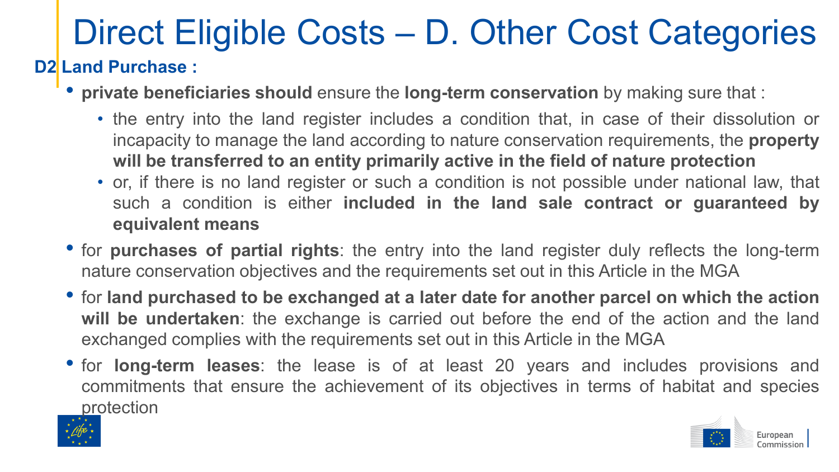#### **D2 Land Purchase :**

- **private beneficiaries should** ensure the **long-term conservation** by making sure that :
	- the entry into the land register includes a condition that, in case of their dissolution or incapacity to manage the land according to nature conservation requirements, the **property will be transferred to an entity primarily active in the field of nature protection**
	- or, if there is no land register or such a condition is not possible under national law, that such a condition is either **included in the land sale contract or guaranteed by equivalent means**
- for **purchases of partial rights**: the entry into the land register duly reflects the long-term nature conservation objectives and the requirements set out in this Article in the MGA
- for **land purchased to be exchanged at a later date for another parcel on which the action will be undertaken**: the exchange is carried out before the end of the action and the land exchanged complies with the requirements set out in this Article in the MGA
- for **long-term leases**: the lease is of at least 20 years and includes provisions and commitments that ensure the achievement of its objectives in terms of habitat and species protection



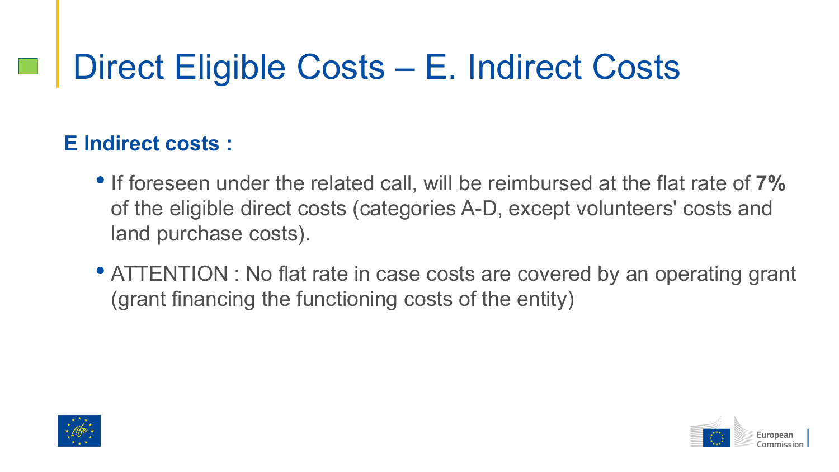### Direct Eligible Costs – E. Indirect Costs

### **E Indirect costs :**

- If foreseen under the related call, will be reimbursed at the flat rate of **7%**  of the eligible direct costs (categories A-D, except volunteers' costs and land purchase costs).
- ATTENTION : No flat rate in case costs are covered by an operating grant (grant financing the functioning costs of the entity)



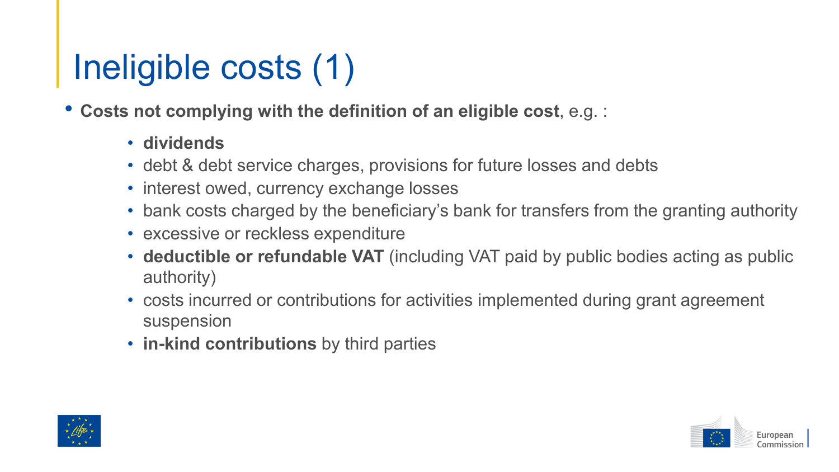## Ineligible costs (1)

• **Costs not complying with the definition of an eligible cost**, e.g. :

- **dividends**
- debt & debt service charges, provisions for future losses and debts
- interest owed, currency exchange losses
- bank costs charged by the beneficiary's bank for transfers from the granting authority
- excessive or reckless expenditure
- **deductible or refundable VAT** (including VAT paid by public bodies acting as public authority)
- costs incurred or contributions for activities implemented during grant agreement suspension
- **in-kind contributions** by third parties



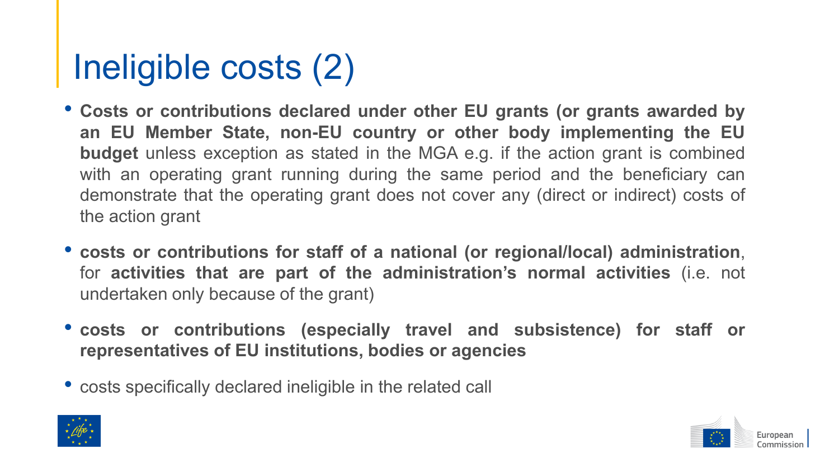## Ineligible costs (2)

- **Costs or contributions declared under other EU grants (or grants awarded by an EU Member State, non-EU country or other body implementing the EU budget** unless exception as stated in the MGA e.g. if the action grant is combined with an operating grant running during the same period and the beneficiary can demonstrate that the operating grant does not cover any (direct or indirect) costs of the action grant
- **costs or contributions for staff of a national (or regional/local) administration**, for **activities that are part of the administration's normal activities** (i.e. not undertaken only because of the grant)
- **costs or contributions (especially travel and subsistence) for staff or representatives of EU institutions, bodies or agencies**
- costs specifically declared ineligible in the related call



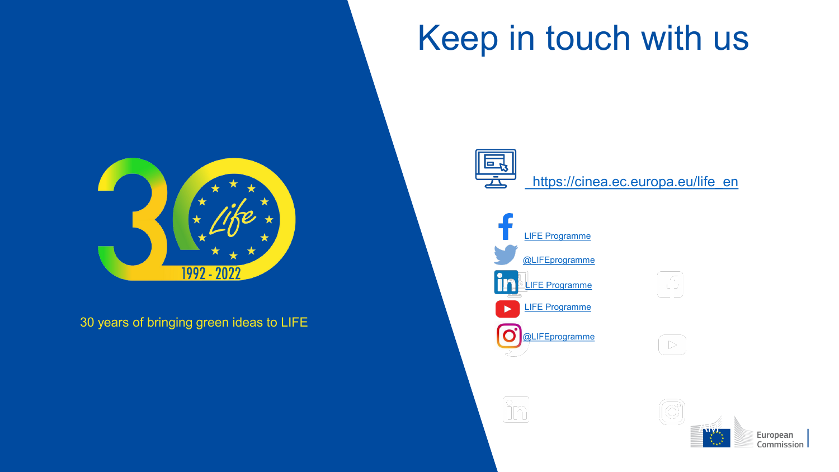30 years of bringing green ideas to LIFE

1992 - 2022



뿦

[https://cinea.ec.europa.eu/life\\_en](https://cinea.ec.europa.eu/life_en)

Keep in touch with us





 $\left| \begin{smallmatrix} 1 \\ 1 \end{smallmatrix} \right|$